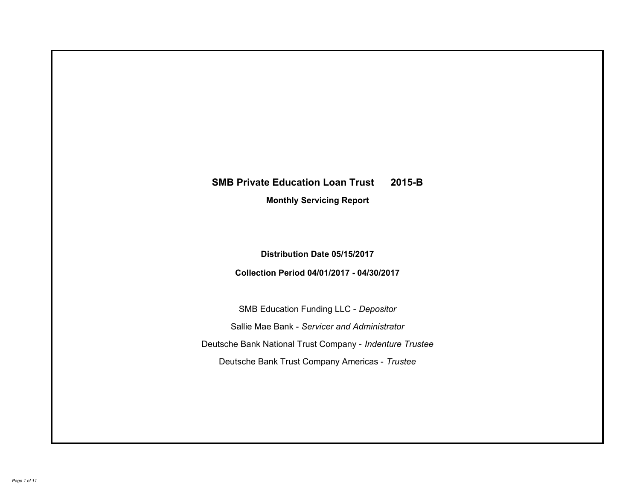# **SMB Private Education Loan Trust 2015-B Monthly Servicing Report**

**Distribution Date 05/15/2017**

**Collection Period 04/01/2017 - 04/30/2017**

SMB Education Funding LLC - *Depositor* Sallie Mae Bank - *Servicer and Administrator* Deutsche Bank National Trust Company - *Indenture Trustee* Deutsche Bank Trust Company Americas - *Trustee*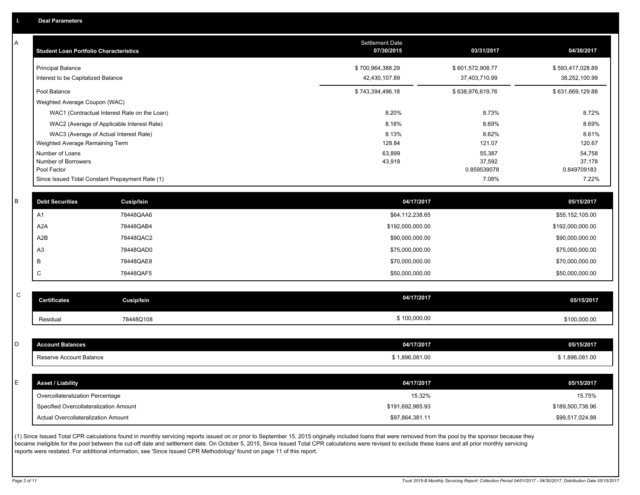A

| A | <b>Student Loan Portfolio Characteristics</b> |                                                 | <b>Settlement Date</b><br>07/30/2015 | 03/31/2017            | 04/30/2017            |
|---|-----------------------------------------------|-------------------------------------------------|--------------------------------------|-----------------------|-----------------------|
|   | <b>Principal Balance</b>                      |                                                 | \$700,964,388.29                     | \$601,572,908.77      | \$593,417,028.89      |
|   | Interest to be Capitalized Balance            |                                                 | 42,430,107.89                        | 37,403,710.99         | 38,252,100.99         |
|   | Pool Balance                                  |                                                 | \$743,394,496.18                     | \$638,976,619.76      | \$631,669,129.88      |
|   | Weighted Average Coupon (WAC)                 |                                                 |                                      |                       |                       |
|   |                                               | WAC1 (Contractual Interest Rate on the Loan)    | 8.20%                                | 8.73%                 | 8.72%                 |
|   |                                               | WAC2 (Average of Applicable Interest Rate)      | 8.18%                                | 8.69%                 | 8.69%                 |
|   |                                               | WAC3 (Average of Actual Interest Rate)          | 8.13%                                | 8.62%                 | 8.61%                 |
|   | Weighted Average Remaining Term               |                                                 | 128.84                               | 121.07                | 120.67                |
|   | Number of Loans                               |                                                 | 63,899                               | 55,387                | 54,758                |
|   | Number of Borrowers<br>Pool Factor            |                                                 | 43,918                               | 37,592<br>0.859539078 | 37,178<br>0.849709183 |
|   |                                               | Since Issued Total Constant Prepayment Rate (1) |                                      | 7.08%                 | 7.22%                 |
|   |                                               |                                                 |                                      |                       |                       |
| B | <b>Debt Securities</b>                        | Cusip/Isin                                      | 04/17/2017                           |                       | 05/15/2017            |
|   | A <sub>1</sub>                                | 78448QAA6                                       | \$64,112,238.65                      |                       | \$55,152,105.00       |
|   | A <sub>2</sub> A                              | 78448QAB4                                       | \$192,000,000.00                     |                       | \$192,000,000.00      |
|   | A2B                                           | 78448QAC2                                       | \$90,000,000.00                      |                       | \$90,000,000.00       |
|   | A <sub>3</sub>                                | 78448QAD0                                       | \$75,000,000.00                      |                       | \$75,000,000.00       |
|   | B                                             | 78448QAE8                                       | \$70,000,000.00                      |                       | \$70,000,000.00       |
|   | C                                             | 78448QAF5                                       | \$50,000,000.00                      |                       | \$50,000,000.00       |
|   |                                               |                                                 |                                      |                       |                       |
| C | <b>Certificates</b>                           | <b>Cusip/Isin</b>                               | 04/17/2017                           |                       | 05/15/2017            |
|   | Residual                                      | 78448Q108                                       | \$100,000.00                         |                       | \$100,000.00          |
|   |                                               |                                                 |                                      |                       |                       |
| D | <b>Account Balances</b>                       |                                                 | 04/17/2017                           |                       | 05/15/2017            |
|   | Reserve Account Balance                       |                                                 | \$1,896,081.00                       |                       | \$1,896,081.00        |
|   |                                               |                                                 |                                      |                       |                       |
| E | <b>Asset / Liability</b>                      |                                                 | 04/17/2017                           |                       | 05/15/2017            |
|   | Overcollateralization Percentage              |                                                 | 15.32%                               |                       | 15.75%                |

(1) Since Issued Total CPR calculations found in monthly servicing reports issued on or prior to September 15, 2015 originally included loans that were removed from the pool by the sponsor because they became ineligible for the pool between the cut-off date and settlement date. On October 5, 2015, Since Issued Total CPR calculations were revised to exclude these loans and all prior monthly servicing reports were restated. For additional information, see 'Since Issued CPR Methodology' found on page 11 of this report.

C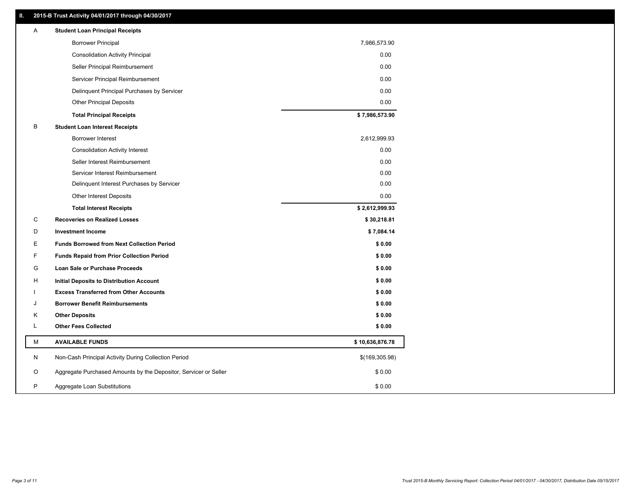# **II. 2015-B Trust Activity 04/01/2017 through 04/30/2017**

| <b>Borrower Principal</b><br>7,986,573.90                                       |  |
|---------------------------------------------------------------------------------|--|
| 0.00<br><b>Consolidation Activity Principal</b>                                 |  |
| 0.00<br>Seller Principal Reimbursement                                          |  |
| Servicer Principal Reimbursement<br>0.00                                        |  |
| 0.00<br>Delinquent Principal Purchases by Servicer                              |  |
| 0.00<br><b>Other Principal Deposits</b>                                         |  |
| \$7,986,573.90<br><b>Total Principal Receipts</b>                               |  |
| B<br><b>Student Loan Interest Receipts</b>                                      |  |
| 2,612,999.93<br>Borrower Interest                                               |  |
| 0.00<br><b>Consolidation Activity Interest</b>                                  |  |
| Seller Interest Reimbursement<br>0.00                                           |  |
| 0.00<br>Servicer Interest Reimbursement                                         |  |
| 0.00<br>Delinquent Interest Purchases by Servicer                               |  |
| Other Interest Deposits<br>0.00                                                 |  |
| \$2,612,999.93<br><b>Total Interest Receipts</b>                                |  |
| C<br><b>Recoveries on Realized Losses</b><br>\$30,218.81                        |  |
| D<br>\$7,084.14<br><b>Investment Income</b>                                     |  |
| Е<br><b>Funds Borrowed from Next Collection Period</b><br>\$0.00                |  |
| F<br>\$0.00<br><b>Funds Repaid from Prior Collection Period</b>                 |  |
| G<br>\$0.00<br>Loan Sale or Purchase Proceeds                                   |  |
| \$0.00<br>н<br><b>Initial Deposits to Distribution Account</b>                  |  |
| <b>Excess Transferred from Other Accounts</b><br>\$0.00                         |  |
| <b>Borrower Benefit Reimbursements</b><br>\$0.00<br>J                           |  |
| Κ<br><b>Other Deposits</b><br>\$0.00                                            |  |
| L<br><b>Other Fees Collected</b><br>\$0.00                                      |  |
| М<br><b>AVAILABLE FUNDS</b><br>\$10,636,876.78                                  |  |
| N<br>Non-Cash Principal Activity During Collection Period<br>\$(169,305.98)     |  |
| O<br>Aggregate Purchased Amounts by the Depositor, Servicer or Seller<br>\$0.00 |  |
| P<br>\$0.00<br>Aggregate Loan Substitutions                                     |  |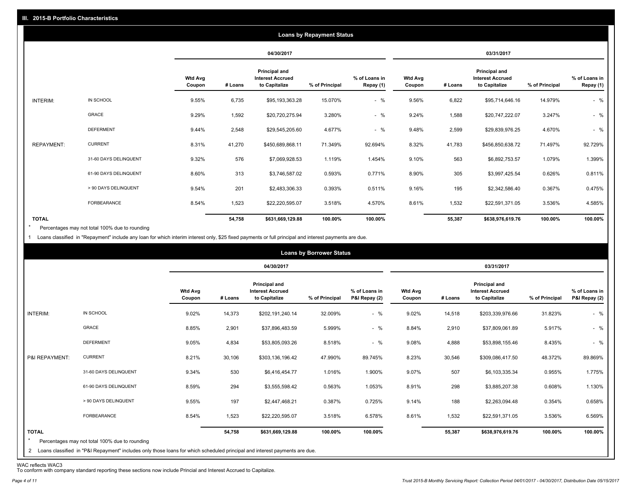|                   |                       |                          |         |                                                           | <b>Loans by Repayment Status</b> |                            |                          |         |                                                                  |                |                            |
|-------------------|-----------------------|--------------------------|---------|-----------------------------------------------------------|----------------------------------|----------------------------|--------------------------|---------|------------------------------------------------------------------|----------------|----------------------------|
|                   |                       |                          |         | 04/30/2017                                                |                                  |                            |                          |         | 03/31/2017                                                       |                |                            |
|                   |                       | <b>Wtd Avg</b><br>Coupon | # Loans | Principal and<br><b>Interest Accrued</b><br>to Capitalize | % of Principal                   | % of Loans in<br>Repay (1) | <b>Wtd Avg</b><br>Coupon | # Loans | <b>Principal and</b><br><b>Interest Accrued</b><br>to Capitalize | % of Principal | % of Loans in<br>Repay (1) |
| INTERIM:          | IN SCHOOL             | 9.55%                    | 6,735   | \$95,193,363.28                                           | 15.070%                          | $-$ %                      | 9.56%                    | 6,822   | \$95,714,646.16                                                  | 14.979%        | $-$ %                      |
|                   | GRACE                 | 9.29%                    | 1,592   | \$20,720,275.94                                           | 3.280%                           | $-$ %                      | 9.24%                    | 1,588   | \$20,747,222.07                                                  | 3.247%         | $-$ %                      |
|                   | <b>DEFERMENT</b>      | 9.44%                    | 2,548   | \$29,545,205.60                                           | 4.677%                           | $-$ %                      | 9.48%                    | 2,599   | \$29,839,976.25                                                  | 4.670%         | $-$ %                      |
| <b>REPAYMENT:</b> | <b>CURRENT</b>        | 8.31%                    | 41,270  | \$450,689,868.11                                          | 71.349%                          | 92.694%                    | 8.32%                    | 41,783  | \$456,850,638.72                                                 | 71.497%        | 92.729%                    |
|                   | 31-60 DAYS DELINQUENT | 9.32%                    | 576     | \$7,069,928.53                                            | 1.119%                           | 1.454%                     | 9.10%                    | 563     | \$6,892,753.57                                                   | 1.079%         | 1.399%                     |
|                   | 61-90 DAYS DELINQUENT | 8.60%                    | 313     | \$3,746,587.02                                            | 0.593%                           | 0.771%                     | 8.90%                    | 305     | \$3,997,425.54                                                   | 0.626%         | 0.811%                     |
|                   | > 90 DAYS DELINQUENT  | 9.54%                    | 201     | \$2,483,306.33                                            | 0.393%                           | 0.511%                     | 9.16%                    | 195     | \$2,342,586.40                                                   | 0.367%         | 0.475%                     |
|                   | <b>FORBEARANCE</b>    | 8.54%                    | 1,523   | \$22,220,595.07                                           | 3.518%                           | 4.570%                     | 8.61%                    | 1,532   | \$22,591,371.05                                                  | 3.536%         | 4.585%                     |
| <b>TOTAL</b>      |                       |                          | 54,758  | \$631,669,129.88                                          | 100.00%                          | 100.00%                    |                          | 55,387  | \$638,976,619.76                                                 | 100.00%        | 100.00%                    |

Percentages may not total 100% due to rounding \*

1 Loans classified in "Repayment" include any loan for which interim interest only, \$25 fixed payments or full principal and interest payments are due.

|                                                                                                                                                                                                           |                          |         |                                                           | <b>Loans by Borrower Status</b> |                                |                          |         |                                                                  |                |                                |
|-----------------------------------------------------------------------------------------------------------------------------------------------------------------------------------------------------------|--------------------------|---------|-----------------------------------------------------------|---------------------------------|--------------------------------|--------------------------|---------|------------------------------------------------------------------|----------------|--------------------------------|
|                                                                                                                                                                                                           |                          |         | 04/30/2017                                                |                                 |                                |                          |         | 03/31/2017                                                       |                |                                |
|                                                                                                                                                                                                           | <b>Wtd Avg</b><br>Coupon | # Loans | Principal and<br><b>Interest Accrued</b><br>to Capitalize | % of Principal                  | % of Loans in<br>P&I Repay (2) | <b>Wtd Avg</b><br>Coupon | # Loans | <b>Principal and</b><br><b>Interest Accrued</b><br>to Capitalize | % of Principal | % of Loans in<br>P&I Repay (2) |
| IN SCHOOL<br>INTERIM:                                                                                                                                                                                     | 9.02%                    | 14,373  | \$202,191,240.14                                          | 32.009%                         | $-$ %                          | 9.02%                    | 14,518  | \$203,339,976.66                                                 | 31.823%        | $-$ %                          |
| GRACE                                                                                                                                                                                                     | 8.85%                    | 2,901   | \$37,896,483.59                                           | 5.999%                          | $-$ %                          | 8.84%                    | 2,910   | \$37,809,061.89                                                  | 5.917%         | $-$ %                          |
| <b>DEFERMENT</b>                                                                                                                                                                                          | 9.05%                    | 4,834   | \$53,805,093.26                                           | 8.518%                          | $-$ %                          | 9.08%                    | 4,888   | \$53,898,155.46                                                  | 8.435%         | $-$ %                          |
| <b>CURRENT</b><br>P&I REPAYMENT:                                                                                                                                                                          | 8.21%                    | 30,106  | \$303,136,196.42                                          | 47.990%                         | 89.745%                        | 8.23%                    | 30,546  | \$309,086,417.50                                                 | 48.372%        | 89.869%                        |
| 31-60 DAYS DELINQUENT                                                                                                                                                                                     | 9.34%                    | 530     | \$6,416,454.77                                            | 1.016%                          | 1.900%                         | 9.07%                    | 507     | \$6,103,335.34                                                   | 0.955%         | 1.775%                         |
| 61-90 DAYS DELINQUENT                                                                                                                                                                                     | 8.59%                    | 294     | \$3,555,598.42                                            | 0.563%                          | 1.053%                         | 8.91%                    | 298     | \$3,885,207.38                                                   | 0.608%         | 1.130%                         |
| > 90 DAYS DELINQUENT                                                                                                                                                                                      | 9.55%                    | 197     | \$2,447,468.21                                            | 0.387%                          | 0.725%                         | 9.14%                    | 188     | \$2,263,094.48                                                   | 0.354%         | 0.658%                         |
| <b>FORBEARANCE</b>                                                                                                                                                                                        | 8.54%                    | 1,523   | \$22,220,595.07                                           | 3.518%                          | 6.578%                         | 8.61%                    | 1,532   | \$22,591,371.05                                                  | 3.536%         | 6.569%                         |
| <b>TOTAL</b><br>$\star$<br>Percentages may not total 100% due to rounding<br>2 Loans classified in "P&I Repayment" includes only those loans for which scheduled principal and interest payments are due. |                          | 54,758  | \$631,669,129.88                                          | 100.00%                         | 100.00%                        |                          | 55,387  | \$638,976,619.76                                                 | 100.00%        | 100.00%                        |

WAC reflects WAC3 To conform with company standard reporting these sections now include Princial and Interest Accrued to Capitalize.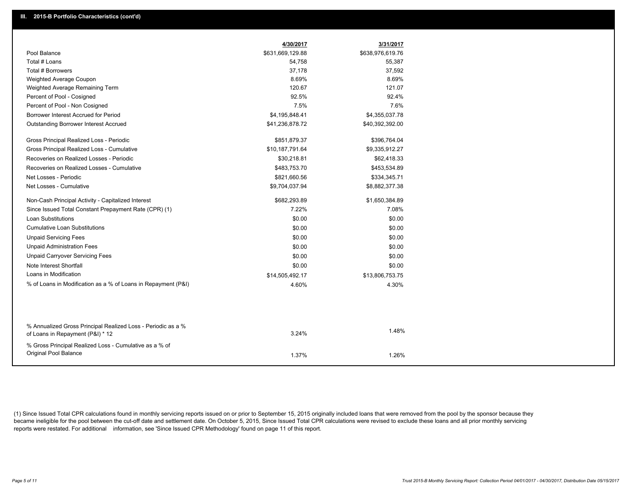|                                                                                                  | 4/30/2017        | 3/31/2017        |
|--------------------------------------------------------------------------------------------------|------------------|------------------|
| Pool Balance                                                                                     | \$631,669,129.88 | \$638,976,619.76 |
| Total # Loans                                                                                    | 54,758           | 55,387           |
| Total # Borrowers                                                                                | 37,178           | 37,592           |
| Weighted Average Coupon                                                                          | 8.69%            | 8.69%            |
| Weighted Average Remaining Term                                                                  | 120.67           | 121.07           |
| Percent of Pool - Cosigned                                                                       | 92.5%            | 92.4%            |
| Percent of Pool - Non Cosigned                                                                   | 7.5%             | 7.6%             |
| Borrower Interest Accrued for Period                                                             | \$4,195,848.41   | \$4,355,037.78   |
| Outstanding Borrower Interest Accrued                                                            | \$41,236,878.72  | \$40,392,392.00  |
| Gross Principal Realized Loss - Periodic                                                         | \$851,879.37     | \$396,764.04     |
| Gross Principal Realized Loss - Cumulative                                                       | \$10,187,791.64  | \$9,335,912.27   |
| Recoveries on Realized Losses - Periodic                                                         | \$30,218.81      | \$62,418.33      |
| Recoveries on Realized Losses - Cumulative                                                       | \$483,753.70     | \$453,534.89     |
| Net Losses - Periodic                                                                            | \$821,660.56     | \$334,345.71     |
| Net Losses - Cumulative                                                                          | \$9,704,037.94   | \$8,882,377.38   |
| Non-Cash Principal Activity - Capitalized Interest                                               | \$682,293.89     | \$1,650,384.89   |
| Since Issued Total Constant Prepayment Rate (CPR) (1)                                            | 7.22%            | 7.08%            |
| <b>Loan Substitutions</b>                                                                        | \$0.00           | \$0.00           |
| <b>Cumulative Loan Substitutions</b>                                                             | \$0.00           | \$0.00           |
| <b>Unpaid Servicing Fees</b>                                                                     | \$0.00           | \$0.00           |
| <b>Unpaid Administration Fees</b>                                                                | \$0.00           | \$0.00           |
| <b>Unpaid Carryover Servicing Fees</b>                                                           | \$0.00           | \$0.00           |
| Note Interest Shortfall                                                                          | \$0.00           | \$0.00           |
| Loans in Modification                                                                            | \$14,505,492.17  | \$13,806,753.75  |
| % of Loans in Modification as a % of Loans in Repayment (P&I)                                    | 4.60%            | 4.30%            |
|                                                                                                  |                  |                  |
|                                                                                                  |                  |                  |
| % Annualized Gross Principal Realized Loss - Periodic as a %<br>of Loans in Repayment (P&I) * 12 | 3.24%            | 1.48%            |
| % Gross Principal Realized Loss - Cumulative as a % of<br>Original Pool Balance                  |                  |                  |
|                                                                                                  | 1.37%            | 1.26%            |

(1) Since Issued Total CPR calculations found in monthly servicing reports issued on or prior to September 15, 2015 originally included loans that were removed from the pool by the sponsor because they became ineligible for the pool between the cut-off date and settlement date. On October 5, 2015, Since Issued Total CPR calculations were revised to exclude these loans and all prior monthly servicing reports were restated. For additional information, see 'Since Issued CPR Methodology' found on page 11 of this report.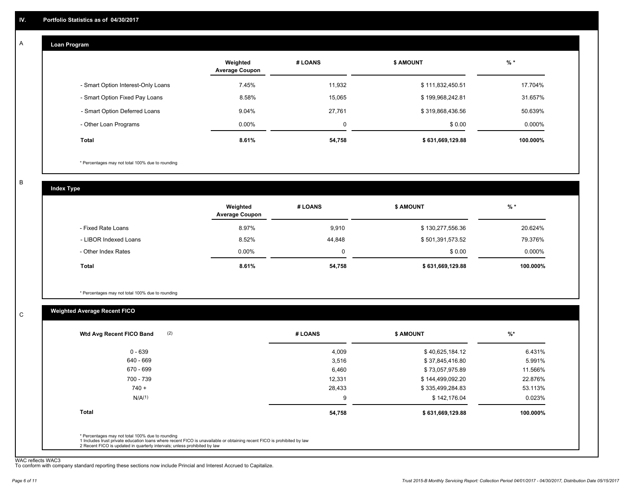#### **Loan Program**  A

|                                    | Weighted<br><b>Average Coupon</b> | # LOANS     | <b>\$ AMOUNT</b> | $%$ *    |
|------------------------------------|-----------------------------------|-------------|------------------|----------|
| - Smart Option Interest-Only Loans | 7.45%                             | 11,932      | \$111,832,450.51 | 17.704%  |
| - Smart Option Fixed Pay Loans     | 8.58%                             | 15,065      | \$199,968,242.81 | 31.657%  |
| - Smart Option Deferred Loans      | 9.04%                             | 27,761      | \$319,868,436.56 | 50.639%  |
| - Other Loan Programs              | $0.00\%$                          | $\mathbf 0$ | \$0.00           | 0.000%   |
| <b>Total</b>                       | 8.61%                             | 54,758      | \$631,669,129.88 | 100.000% |

\* Percentages may not total 100% due to rounding

B

C

**Index Type**

|                       | Weighted<br><b>Average Coupon</b> | # LOANS | <b>\$ AMOUNT</b> | % *       |
|-----------------------|-----------------------------------|---------|------------------|-----------|
| - Fixed Rate Loans    | 8.97%                             | 9,910   | \$130,277,556.36 | 20.624%   |
| - LIBOR Indexed Loans | 8.52%                             | 44,848  | \$501,391,573.52 | 79.376%   |
| - Other Index Rates   | $0.00\%$                          |         | \$0.00           | $0.000\%$ |
| Total                 | 8.61%                             | 54,758  | \$631,669,129.88 | 100.000%  |

\* Percentages may not total 100% due to rounding

# **Weighted Average Recent FICO**

| # LOANS | <b>\$ AMOUNT</b> | $\frac{9}{6}$ * |
|---------|------------------|-----------------|
| 4,009   | \$40,625,184.12  | 6.431%          |
| 3,516   | \$37,845,416.80  | 5.991%          |
| 6,460   | \$73,057,975.89  | 11.566%         |
| 12,331  | \$144,499,092.20 | 22.876%         |
| 28,433  | \$335,499,284.83 | 53.113%         |
| 9       | \$142,176.04     | 0.023%          |
| 54,758  | \$631,669,129.88 | 100.000%        |
|         |                  |                 |
|         |                  |                 |

WAC reflects WAC3 To conform with company standard reporting these sections now include Princial and Interest Accrued to Capitalize.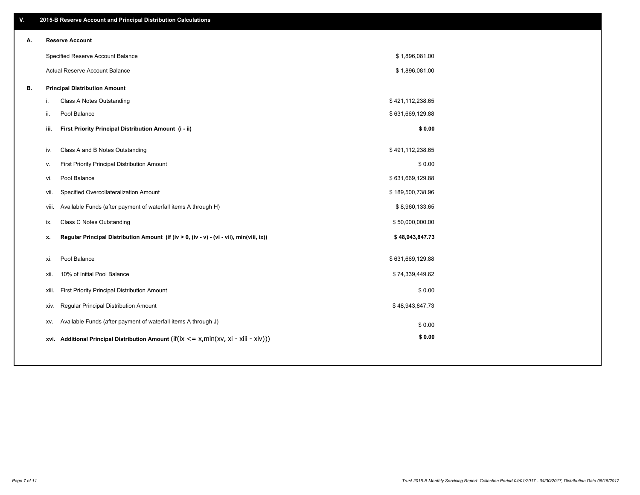| ۷. |       | 2015-B Reserve Account and Principal Distribution Calculations                             |                  |  |
|----|-------|--------------------------------------------------------------------------------------------|------------------|--|
| А. |       | <b>Reserve Account</b>                                                                     |                  |  |
|    |       | Specified Reserve Account Balance                                                          | \$1,896,081.00   |  |
|    |       | Actual Reserve Account Balance                                                             | \$1,896,081.00   |  |
| В. |       | <b>Principal Distribution Amount</b>                                                       |                  |  |
|    | i.    | Class A Notes Outstanding                                                                  | \$421,112,238.65 |  |
|    | ii.   | Pool Balance                                                                               | \$631,669,129.88 |  |
|    | iii.  | First Priority Principal Distribution Amount (i - ii)                                      | \$0.00           |  |
|    |       |                                                                                            |                  |  |
|    | iv.   | Class A and B Notes Outstanding                                                            | \$491,112,238.65 |  |
|    | v.    | First Priority Principal Distribution Amount                                               | \$0.00           |  |
|    | vi.   | Pool Balance                                                                               | \$631,669,129.88 |  |
|    | vii.  | Specified Overcollateralization Amount                                                     | \$189,500,738.96 |  |
|    | viii. | Available Funds (after payment of waterfall items A through H)                             | \$8,960,133.65   |  |
|    | ix.   | Class C Notes Outstanding                                                                  | \$50,000,000.00  |  |
|    | х.    | Regular Principal Distribution Amount (if (iv > 0, (iv - v) - (vi - vii), min(viii, ix))   | \$48,943,847.73  |  |
|    | xi.   | Pool Balance                                                                               | \$631,669,129.88 |  |
|    |       | 10% of Initial Pool Balance                                                                | \$74,339,449.62  |  |
|    | xii.  |                                                                                            |                  |  |
|    | xiii. | First Priority Principal Distribution Amount                                               | \$0.00           |  |
|    | xiv.  | Regular Principal Distribution Amount                                                      | \$48,943,847.73  |  |
|    | XV.   | Available Funds (after payment of waterfall items A through J)                             | \$0.00           |  |
|    |       | xvi. Additional Principal Distribution Amount (if(ix $\lt$ = x, min(xv, xi - xiii - xiv))) | \$0.00           |  |
|    |       |                                                                                            |                  |  |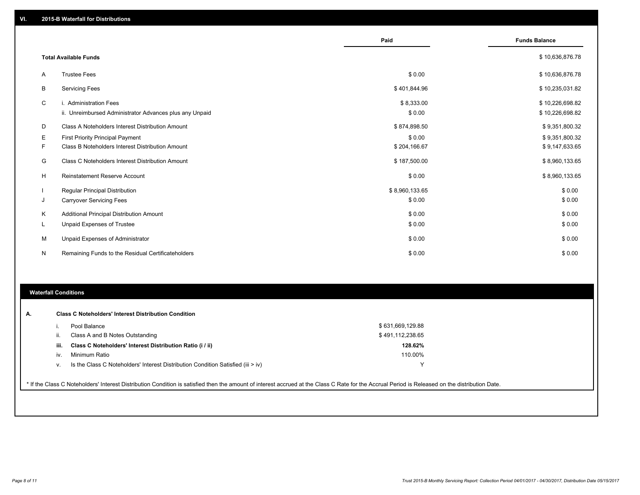|    |                                                                                   | Paid                 | <b>Funds Balance</b>               |
|----|-----------------------------------------------------------------------------------|----------------------|------------------------------------|
|    | <b>Total Available Funds</b>                                                      |                      | \$10,636,876.78                    |
| A  | <b>Trustee Fees</b>                                                               | \$0.00               | \$10,636,876.78                    |
| B  | <b>Servicing Fees</b>                                                             | \$401,844.96         | \$10,235,031.82                    |
| C  | i. Administration Fees<br>ii. Unreimbursed Administrator Advances plus any Unpaid | \$8,333.00<br>\$0.00 | \$10,226,698.82<br>\$10,226,698.82 |
| D  | Class A Noteholders Interest Distribution Amount                                  | \$874,898.50         | \$9,351,800.32                     |
| Е  | <b>First Priority Principal Payment</b>                                           | \$0.00               | \$9,351,800.32                     |
| F  | Class B Noteholders Interest Distribution Amount                                  | \$204,166.67         | \$9,147,633.65                     |
| G  | Class C Noteholders Interest Distribution Amount                                  | \$187,500.00         | \$8,960,133.65                     |
| н  | <b>Reinstatement Reserve Account</b>                                              | \$0.00               | \$8,960,133.65                     |
|    | <b>Regular Principal Distribution</b>                                             | \$8,960,133.65       | \$0.00                             |
| J  | <b>Carryover Servicing Fees</b>                                                   | \$0.00               | \$0.00                             |
| K  | Additional Principal Distribution Amount                                          | \$0.00               | \$0.00                             |
| ч. | <b>Unpaid Expenses of Trustee</b>                                                 | \$0.00               | \$0.00                             |
| М  | Unpaid Expenses of Administrator                                                  | \$0.00               | \$0.00                             |
| N  | Remaining Funds to the Residual Certificateholders                                | \$0.00               | \$0.00                             |

### **Waterfall Conditions**

|      | Pool Balance                                                                       | \$631,669,129.88 |  |
|------|------------------------------------------------------------------------------------|------------------|--|
| H.   | Class A and B Notes Outstanding                                                    | \$491,112,238.65 |  |
| iii. | Class C Noteholders' Interest Distribution Ratio (i / ii)                          | 128.62%          |  |
| IV.  | Minimum Ratio                                                                      | 110.00%          |  |
| v.   | Is the Class C Noteholders' Interest Distribution Condition Satisfied (iii $>$ iv) | $\check{ }$      |  |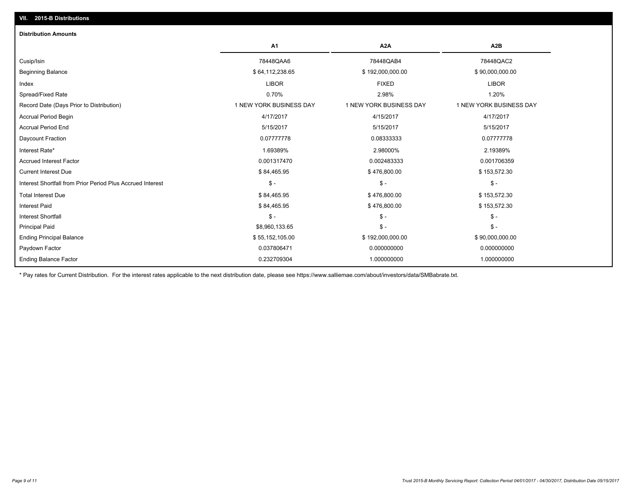| <b>Distribution Amounts</b>                                |                         |                         |                         |
|------------------------------------------------------------|-------------------------|-------------------------|-------------------------|
|                                                            | A <sub>1</sub>          | A <sub>2</sub> A        | A <sub>2</sub> B        |
| Cusip/Isin                                                 | 78448QAA6               | 78448QAB4               | 78448QAC2               |
| <b>Beginning Balance</b>                                   | \$64,112,238.65         | \$192,000,000.00        | \$90,000,000.00         |
| Index                                                      | <b>LIBOR</b>            | <b>FIXED</b>            | <b>LIBOR</b>            |
| Spread/Fixed Rate                                          | 0.70%                   | 2.98%                   | 1.20%                   |
| Record Date (Days Prior to Distribution)                   | 1 NEW YORK BUSINESS DAY | 1 NEW YORK BUSINESS DAY | 1 NEW YORK BUSINESS DAY |
| <b>Accrual Period Begin</b>                                | 4/17/2017               | 4/15/2017               | 4/17/2017               |
| <b>Accrual Period End</b>                                  | 5/15/2017               | 5/15/2017               | 5/15/2017               |
| Daycount Fraction                                          | 0.07777778              | 0.08333333              | 0.07777778              |
| Interest Rate*                                             | 1.69389%                | 2.98000%                | 2.19389%                |
| <b>Accrued Interest Factor</b>                             | 0.001317470             | 0.002483333             | 0.001706359             |
| <b>Current Interest Due</b>                                | \$84,465.95             | \$476,800.00            | \$153,572.30            |
| Interest Shortfall from Prior Period Plus Accrued Interest | $\mathsf{\$}$ -         | $\mathsf{\$}$ -         | $\mathsf{\$}$ -         |
| <b>Total Interest Due</b>                                  | \$84,465.95             | \$476,800.00            | \$153,572.30            |
| <b>Interest Paid</b>                                       | \$84,465.95             | \$476,800.00            | \$153,572.30            |
| <b>Interest Shortfall</b>                                  | $\mathsf S$ -           | $$ -$                   | $S -$                   |
| <b>Principal Paid</b>                                      | \$8,960,133.65          | $$ -$                   | $\mathsf{\$}$ -         |
| <b>Ending Principal Balance</b>                            | \$55,152,105.00         | \$192,000,000.00        | \$90,000,000.00         |
| Paydown Factor                                             | 0.037806471             | 0.000000000             | 0.000000000             |
| <b>Ending Balance Factor</b>                               | 0.232709304             | 1.000000000             | 1.000000000             |

\* Pay rates for Current Distribution. For the interest rates applicable to the next distribution date, please see https://www.salliemae.com/about/investors/data/SMBabrate.txt.

**VII. 2015-B Distributions**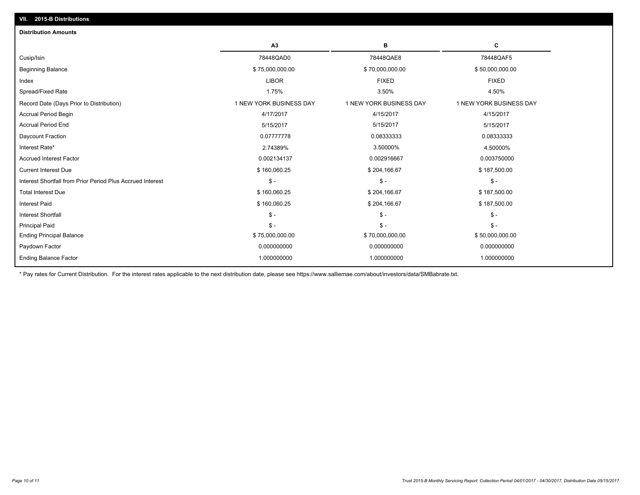| <b>Distribution Amounts</b>                                |                         |                         |                         |
|------------------------------------------------------------|-------------------------|-------------------------|-------------------------|
|                                                            | A3                      | в                       | С                       |
| Cusip/Isin                                                 | 78448QAD0               | 78448QAE8               | 78448QAF5               |
| <b>Beginning Balance</b>                                   | \$75,000,000.00         | \$70,000,000.00         | \$50,000,000.00         |
| Index                                                      | <b>LIBOR</b>            | <b>FIXED</b>            | <b>FIXED</b>            |
| Spread/Fixed Rate                                          | 1.75%                   | 3.50%                   | 4.50%                   |
| Record Date (Days Prior to Distribution)                   | 1 NEW YORK BUSINESS DAY | 1 NEW YORK BUSINESS DAY | 1 NEW YORK BUSINESS DAY |
| <b>Accrual Period Begin</b>                                | 4/17/2017               | 4/15/2017               | 4/15/2017               |
| <b>Accrual Period End</b>                                  | 5/15/2017               | 5/15/2017               | 5/15/2017               |
| Daycount Fraction                                          | 0.07777778              | 0.08333333              | 0.08333333              |
| Interest Rate*                                             | 2.74389%                | 3.50000%                | 4.50000%                |
| <b>Accrued Interest Factor</b>                             | 0.002134137             | 0.002916667             | 0.003750000             |
| <b>Current Interest Due</b>                                | \$160,060.25            | \$204,166.67            | \$187,500.00            |
| Interest Shortfall from Prior Period Plus Accrued Interest | $S -$                   | $\mathsf{\$}$ -         | $\frac{2}{3}$ -         |
| <b>Total Interest Due</b>                                  | \$160,060.25            | \$204,166.67            | \$187,500.00            |
| <b>Interest Paid</b>                                       | \$160,060.25            | \$204,166.67            | \$187,500.00            |
| <b>Interest Shortfall</b>                                  | $S -$                   | $\mathsf{\$}$ -         | $\mathsf{\$}$ -         |
| <b>Principal Paid</b>                                      | $S -$                   | $\mathsf S$ -           | $S -$                   |
| <b>Ending Principal Balance</b>                            | \$75,000,000.00         | \$70,000,000.00         | \$50,000,000.00         |
| Paydown Factor                                             | 0.000000000             | 0.000000000             | 0.000000000             |
| <b>Ending Balance Factor</b>                               | 1.000000000             | 1.000000000             | 1.000000000             |
|                                                            |                         |                         |                         |

\* Pay rates for Current Distribution. For the interest rates applicable to the next distribution date, please see https://www.salliemae.com/about/investors/data/SMBabrate.txt.

**VII. 2015-B Distributions**